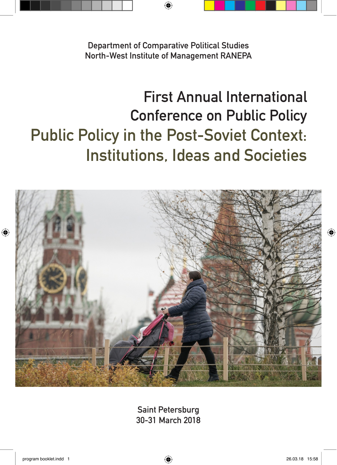**Department of Comparative Political Studies North-West Institute of Management RANEPA**

⊕

## **First Annual International Conference on Public Policy Public Policy in the Post-Soviet Context: Institutions, Ideas and Societies**



**Saint Petersburg 30-31 March 2018**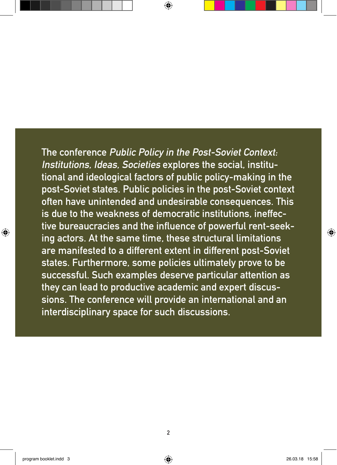**The conference Public Policy in the Post-Soviet Context: Institutions, Ideas, Societies explores the social, institutional and ideological factors of public policy-making in the post-Soviet states. Public policies in the post-Soviet context often have unintended and undesirable consequences. This is due to the weakness of democratic institutions, ineffective bureaucracies and the influence of powerful rent-seeking actors. At the same time, these structural limitations are manifested to a different extent in different post-Soviet states. Furthermore, some policies ultimately prove to be successful. Such examples deserve particular attention as they can lead to productive academic and expert discussions. The conference will provide an international and an interdisciplinary space for such discussions.**

⊕

♠

◈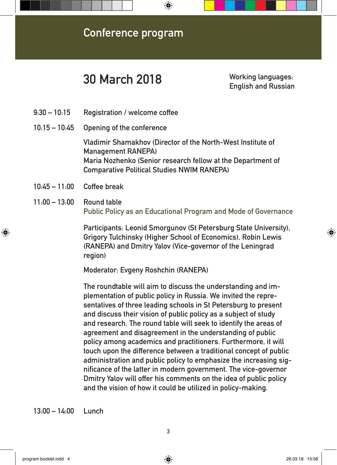

## **30 March 2018 Working languages:**

**English and Russian**

- **9:30 10:15 Registration / welcome coffee**
- **10:15 10:45 Opening of the conference**

**Vladimir Shamakhov (Director of the North-West Institute of Management RANEPA) Maria Nozhenko (Senior research fellow at the Department of Comparative Political Studies NWIM RANEPA)**

**10:45 – 11:00 Coffee break**

⊕

**11:00 – 13:00 Round table Public Policy as an Educational Program and Mode of Governance** 

> **Participants: Leonid Smorgunov (St Petersburg State University), Grigory Tulchinsky (Higher School of Economics), Robin Lewis (RANEPA) and Dmitry Yalov (Vice-governor of the Leningrad region)**

**Moderator: Evgeny Roshchin (RANEPA)**

**The roundtable will aim to discuss the understanding and implementation of public policy in Russia. We invited the representatives of three leading schools in St Petersburg to present and discuss their vision of public policy as a subject of study and research. The round table will seek to identify the areas of agreement and disagreement in the understanding of public policy among academics and practitioners. Furthermore, it will touch upon the difference between a traditional concept of public administration and public policy to emphasize the increasing significance of the latter in modern government. The vice-governor Dmitry Yalov will offer his comments on the idea of public policy and the vision of how it could be utilized in policy-making.**

**13:00 – 14:00 Lunch**

⊕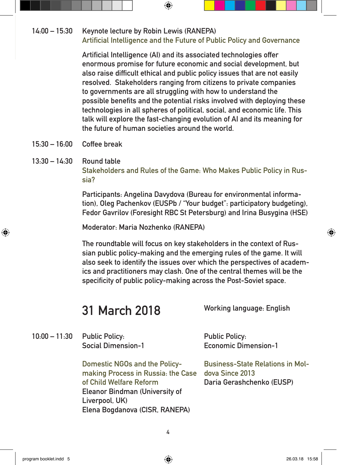## **14:00 – 15:30 Keynote lecture by Robin Lewis (RANEPA) Artificial Intelligence and the Future of Public Policy and Governance**

 $\bigcirc$ 

**Artificial Intelligence (AI) and its associated technologies offer enormous promise for future economic and social development, but also raise difficult ethical and public policy issues that are not easily resolved. Stakeholders ranging from citizens to private companies to governments are all struggling with how to understand the possible benefits and the potential risks involved with deploying these technologies in all spheres of political, social, and economic life. This talk will explore the fast-changing evolution of AI and its meaning for the future of human societies around the world.**

- **15:30 16:00 Coffee break**
- **13:30 14:30 Round table Stakeholders and Rules of the Game: Who Makes Public Policy in Russia?**

**Participants: Angelina Davydova (Bureau for environmental information), Oleg Pachenkov (EUSPb / "Your budget": participatory budgeting), Fedor Gavrilov (Foresight RBC St Petersburg) and Irina Busygina (HSE)** 

**Moderator: Maria Nozhenko (RANEPA)**

**The roundtable will focus on key stakeholders in the context of Russian public policy-making and the emerging rules of the game. It will also seek to identify the issues over which the perspectives of academics and practitioners may clash. One of the central themes will be the specificity of public policy-making across the Post-Soviet space.**

## **31 March 2018**

**Working language: English**

**10:00 – 11:30 Public Policy: Social Dimension-1 Public Policy: Economic Dimension-1**

> **Domestic NGOs and the Policymaking Process in Russia: the Case of Child Welfare Reform Eleanor Bindman (University of Liverpool, UK) Elena Bogdanova (CISR, RANEPA)**

**Business-State Relations in Moldova Since 2013 Daria Gerashchenko (EUSP)**

↔

⊕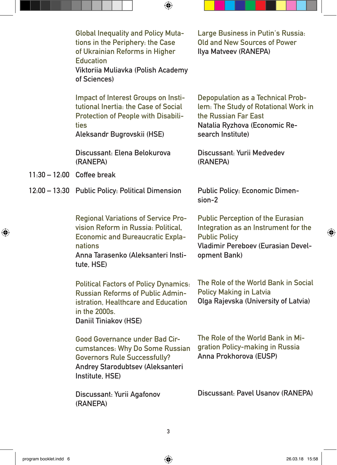|                            | <b>Global Inequality and Policy Muta-</b><br>tions in the Periphery: the Case<br>of Ukrainian Reforms in Higher<br><b>Education</b><br>Viktoriia Muliavka (Polish Academy<br>of Sciences)   | Large Business in Putin's Russia:<br>Old and New Sources of Power<br>Ilya Matveev (RANEPA)                                                                            |
|----------------------------|---------------------------------------------------------------------------------------------------------------------------------------------------------------------------------------------|-----------------------------------------------------------------------------------------------------------------------------------------------------------------------|
|                            | Impact of Interest Groups on Insti-<br>tutional Inertia: the Case of Social<br><b>Protection of People with Disabili-</b><br>ties<br>Aleksandr Bugrovskii (HSE)                             | <b>Depopulation as a Technical Prob-</b><br>lem: The Study of Rotational Work in<br>the Russian Far East<br>Natalia Ryzhova (Economic Re-<br>search Institute)        |
|                            | Discussant: Elena Belokurova<br>(RANEPA)                                                                                                                                                    | Discussant: Yurii Medvedev<br>(RANEPA)                                                                                                                                |
| 11:30 - 12:00 Coffee break |                                                                                                                                                                                             |                                                                                                                                                                       |
|                            | 12:00 - 13:30 Public Policy: Political Dimension                                                                                                                                            | <b>Public Policy: Economic Dimen-</b><br>$sion-2$                                                                                                                     |
|                            | <b>Regional Variations of Service Pro-</b><br>vision Reform in Russia: Political,<br><b>Economic and Bureaucratic Expla-</b><br>nations<br>Anna Tarasenko (Aleksanteri Insti-<br>tute, HSE) | <b>Public Perception of the Eurasian</b><br>Integration as an Instrument for the<br><b>Public Policy</b><br><b>Vladimir Pereboev (Eurasian Devel-</b><br>opment Bank) |
|                            | <b>Political Factors of Policy Dynamics:</b><br><b>Russian Reforms of Public Admin-</b><br>istration. Healthcare and Education<br>in the 2000s.<br>Daniil Tiniakov (HSE)                    | The Role of the World Bank in Social<br><b>Policy Making in Latvia</b><br>Olga Rajevska (University of Latvia)                                                        |
|                            | <b>Good Governance under Bad Cir-</b><br>cumstances: Why Do Some Russian<br><b>Governors Rule Successfully?</b><br>Andrey Starodubtsev (Aleksanteri<br>Institute, HSE)                      | The Role of the World Bank in Mi-<br>gration Policy-making in Russia<br>Anna Prokhorova (EUSP)                                                                        |
|                            | Discussant: Yurii Agafonov<br>(RANEPA)                                                                                                                                                      | Discussant: Pavel Usanov (RANEPA)                                                                                                                                     |

 $\bigoplus$ 

 $\bigoplus$ 

 $\overline{\phantom{a}}$ 

 $\bigoplus$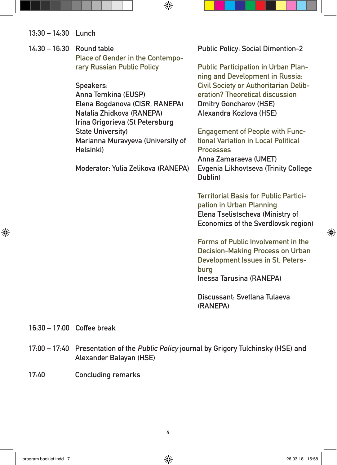| 13:30 - 14:30 Lunch |
|---------------------|
|---------------------|

**14:30 – 16:30 Round table Place of Gender in the Contemporary Russian Public Policy Speakers:** 

**Anna Temkina (EUSP) Elena Bogdanova (CISR, RANEPA) Natalia Zhidkova (RANEPA) Irina Grigorieva (St Petersburg State University) Marianna Muravyeva (University of** 

 $\bigcirc$ 

**Moderator: Yulia Zelikova (RANEPA)**

**Helsinki)**

**Public Policy: Social Dimention-2**

**Public Participation in Urban Planning and Development in Russia: Civil Society or Authoritarian Deliberation? Theoretical discussion Dmitry Goncharov (HSE) Alexandra Kozlova (HSE)**

**Engagement of People with Functional Variation in Local Political Processes Anna Zamaraeva (UMET) Evgenia Likhovtseva (Trinity College Dublin)**

**Territorial Basis for Public Participation in Urban Planning Elena Tselistscheva (Ministry of Economics of the Sverdlovsk region)**

**Forms of Public Involvement in the Decision-Making Process on Urban Development Issues in St. Petersburg Inessa Tarusina (RANEPA)**

**Discussant: Svetlana Tulaeva (RANEPA)**

**16:30 – 17:00 Coffee break**

↔

- **17:00 17:40 Presentation of the Public Policy journal by Grigory Tulchinsky (HSE) and Alexander Balayan (HSE)**
- **17:40 Concluding remarks**

⊕